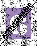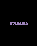# BULGARIA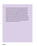*Civil society is characterized by weak capacities in the context of fragile democracy and rule of law. In 2021, civic space in Bulgaria was heavily influenced by the complicated political and public health situation. In the current turbulent context, it is not surprising that during the past two years the advancement of human rights protection, civil society space, the rule of law and democracy in Bulgaria has been limited. Nevertheless, following the visibility of NGOs positive actions during the pandemic, public trust in the sector has improved despite the anti-NGO campaigns by leading politicians, magnified by politically affiliated media outlets and Bulgaria's worsening freedom of press situation. The LGBTI+ community is under pressure after the surge of physical attacks and violent threats by far-right groups. Nevertheless, the story of baby Sara is an achievement for rights nationally and at the European level.*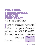# POLITICAL TUDBED TAN CHES AFFECTS CIVIC SPACE Civil society resilience results in higher trust

### **By Zahari Iankov, lawyer and Nadia Shabani, director, Bulgarian Center for Not-for-Profit Law**

ulgaria is a Member State of the<br>
European Union since 2007.<br>
However, it is still considered<br>
as a semi-consolidated democracy.<br>
Additionally, the freedom<br>
of press in Bulgaria is ranked the lowest ulgaria is a Member State of the European Union since 2007. However, it is still considered as a semi-consolidated democracy.**<sup>1</sup>** Additionally, the freedom in the whole European Union and second lowest after Turkey in the Balkan region.**<sup>2</sup>** The sustainability of the civil society organisations is also still developing.**<sup>3</sup>** Since 2020, the Bulgarian authorities are struggling to find a proper response to the health, economic and social crisis triggered by the COVID-19 pandemic. As to October 2021, Bulgaria is the country with the lowest COVID-19 vaccination rates in the EU **<sup>4</sup>** – despite the availability of

**3** https://www.fhi360.org/sites/default/files/media/ documents/csosi-europe-eurasia-2019-report.pdf **4** https://www.statista.com/statistics/1196071/ covid-19-vaccination-rate-in-europe-by-country/

vaccines – and one of the countries with the highest mortality and infection rates.**<sup>5</sup>** Bulgaria is also in a seemingly deepening political crisis awaiting its third parliamentary election in just a year. During the summer of 2020 protesters took to the streets of the capitol Sofia and some other major cities demanding the resignation of the ruling party GERB which had dominated the Bulgarian political landscape for the past 12 years. The parties who promoted themselves as "bringers of change," however, failed to form a government and the civil society actors backing the 2020 protests did not manage to form a new political party with a substantial popular support.

In the turbulent political situation, it is not a surprise that during the past two years the advancement of human rights protection, civil society space, the rule of law and democracy in Bulgaria has been limited. This analysis examines the main issues faced by the civic space, democracy and human rights in Bulgaria for the period 2020-2021 as well as the reasons for them and provides recommendation for further actions.

47

#### THE RULE OF LAW, POLITICAL LANDSCAPE AND SAFE SPACE

In 2021, civic space in Bulgaria was heavily influenced by the complicated political and public health situation. Since 2020 the country has been struggling to

MANY PEOPLE MANAGED TO PERSONALLY TAKE PART, OBSERVE OR BENEFIT FROM THE CSOS' WORK

**<sup>1</sup>** https://freedomhouse.org/countries/nations-transit/ scores

**<sup>2</sup>** https://rsf.org/en/ranking

**<sup>5</sup>** https://www.ecdc.europa.eu/en/

cases-2019-ncov-eueea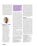implement effective measures against the negative health, economic and social effects of the COVID – 19 pandemic. Additionally, after a lengthy protest against the ruling majority and Government during the summer of 2020, the results of the regular parliamentary elections held in April 2021 did not provide any political party or a group of parties willing to form a coalition with a majority. This course of events led to snap elections in July 2021, which had a similar outcome, effectively creating a state of a political crisis. Another snap election for Parliament will



#### THE AUTH

48

Zahari lankov is a legal consultant in BCNL where he works since October 2019. Zahari has LLM from the University of Sofia "st. Kliment Ohridski" and a master in Democracy and Human Rights in Southeast Europe (ERMA) with a double degree from the University of Sarajevo and University of Bologna. In his daily work, Zahari supports citizens and civic organizations through consultations on the legal framework and procedures for the initial registration, re-registration and registration of changes of nonprofit legal entities, prepares legal documents and opinions. Zahari is also responsible for the weekly monitoring of the Bulgarian legislation with a focus on the NGO sector.

# THIS POSITIVE EXPOSURE RESULTED IN INCREASED PUBLIC TRUST IN THE CIVIC ACTORS COMPARED TO PREVIOUS YEARS

be held together with a regular election for a President in November 2021.**<sup>6</sup>** Despite this context, the Bulgarian NGOs were and still are very active. A lot of organisations quickly reorganised their work after the announcement of the first and strictest lockdown in March 2020 to face the multifaced challenges linked with the pandemic. As a result, many people managed to personally take part, observe or benefit from the CSOs' work. The traditional media sources also gave more visibility to the CSOs by promoting good practices, initiatives and charity campaigns.**<sup>7</sup>** This positive exposure resulted in increased public trust in the civic actors compared to previous years. However, according to public opinion research, only about a third of the Bulgarians trust the NGOs (31,3 % in 2020 compared to 24,7% in 2018), and half of the Bulgarians see the NGOs as helpful (49,7 % in 2020 compared to 44,7 % in 2018).**<sup>8</sup>**

Contributing to the low level of public trust in civil society organisations is some political parties' ever expanding anti-NGO rhetoric in recent years. The so-called far-right parties are leading in the speech aiming to undermine NGOs image.**<sup>9</sup>** However, in the past year, such vilifying narratives**<sup>10</sup>** were also embraced by a major Bulgarian party that identifies itself as liberal and is a member of the liberal party of the EU Parliament – Renew Europe.**<sup>11</sup>** The creation of a hostile environment is also aided by publications of politically affiliated media outlets and Bulgaria's worsening freedom of press situation.**<sup>12</sup>** The smear attacks are mainly targeting watchdog organisations (e.g. BCNL**<sup>13</sup>**) and human rights organisations, in particular those advocating for children (e.g. National Network for Children**<sup>14</sup>**) and minority rights. These groups are being framed as "*organisations protecting foreign interests*" or "*Soros' organisations*."

#### SAFE SPACE

In 2018, a heated public debate was instigated around the ratification of the Istanbul Convention. During this debate many groups identifying themselves as Christian, conservative and/or patriotic gained traction and continued their activities well after the Istanbul Convention was proclaimed to contradict the Bulgarian Constitution by the country's Constitutional Court.**<sup>15</sup>** These groups claim to fight against the "gender ideology" imposed by the European Union and the Western democracies. There is no widespread common understanding of what the "gender ideology" is as it serves as an umbrella term which includes some aspects of children rights, women rights, LGBT rights, multiculturalism, reproductive rights and others. Seen as a showcase of far-right extremism**16**, these groups are spreading false news which can be

- dps-partiite-da-zabravat-za-politicheskia-revansh **11** https://www.aldeparty.eu/tags/
- update\_movement\_for\_rights\_and\_freedoms
- **12** https://rsf.org/en/bulgaria
	- **13** https://blitz.bg/obshtestvo/ogromen-skandal-ministr-zakharieva-buta-grantovozavisimata-shabani-za-klyuchov-post-v-es\_news747036.html **14** https://bit.ly/3hYbCCf
- **15** https://balkaninsight.com/2018/07/27/bulgaria-sconstitutional-court-says-istanbul-convention-notin-line-with-basic-law-07-27-2018/ **16** https://h2020connekt.eu/wp-content/ uploads/2021/09/Bulgaria\_CONNEKT\_Macro\_
- Drivers.pdf



**<sup>6</sup>** Update: the party "We Continue the Change" won the most seats and the elected presdient was the incombent Rumen Radev. A coalition formed in December 2021 with PP BSP ITN and DB. [Bulgaria's](https://www.euronews.com/2021/11/21/bulgarians-vote-in-an-election-that-will-determine-the-new-president)  [Rumen Radev wins presidential re-election: Exit](https://www.euronews.com/2021/11/21/bulgarians-vote-in-an-election-that-will-determine-the-new-president)  [polls | Euronews](https://www.euronews.com/2021/11/21/bulgarians-vote-in-an-election-that-will-determine-the-new-president)

**<sup>7</sup>** The 2020 Civil Society Sustainability Index for Bulgaria, p. 12, https://bit.ly/3t4emUO **8** http://bcnl.org/analyses/obshtestveni-naglasi-kam-grazhdanskite-organizatsii-2020.html **9** https://offnews.bg/analizi-i-komentari/npo-to-mi-epo-dobro-ot-npo-to-ti-748766.html

**<sup>10</sup>** https://bnr.bg/post/101511428/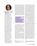

### THE AUTHORS

Nadia Shabani is a jurist with a master's degree in law from the Law Faculty of the Sofia University "St. Kliment Ohridski" with major in International Law and International Relations. She has worked in the Bulgarian Center for Not-for-Profit Law (BCNL) since its establishment in 2001 until 2009 and returns to BCNL in 2012. Since April 2016 she is the Director of BCNL. Nadia Shabani leads projects in various fields: advocacy for diverse civic causes, social policies, human rights, social contracting, public-private partnerships. Ms. Shabani provides legal assistance to civic organizations, public officials on central and local level, professional groups, parental organisations and providers of social services for developing policies, strategic documents, drafting legislation changes and impact assessments in the social sphere. In 2009, Ms. Shabani became the Chairperson of the National Agency for Child Protection in Bulgaria, responsible for the enforcement of children rights and coordination of all government policies in the area. As the head of this Agency, she was in charge of the coordination of all measures and programs in the plan for the deinstitutionalization of children in Bulgaria, accepted in 2010 and funded by the EU.

tracked to Russian sources,**<sup>17</sup>** praise the homophobic and anti-NGO policies propagated by the ruling parties in Russia, Hungary and Poland and frequently target NGOs (mainly LGBT and human rights organizations as well as providers of social services for children and women), LGBT people (or people considered falsely or not to be members of the LGBT community), LGBT Pride events and any group or political party which they see as having a liberal agenda. They also oppose legal documents meant to advance the human rights protection and the social state, such

## A HEATED PUBLIC DEBATE WAS INSTIGATED AROUND THE RATIFICATION OF THE **ISTANBUL CONVENTION**

as the proposed Strategy for the Child 2019-2030, amendments to the Protection against Domestic Violence Act, the Social Service Act as well as the anti-COVID measures and vaccination.

The emergence of far-right groups and the lack of proper response by the authorities led to a surge of physical attacks and violent threats against LGBT+ organisations and activists which is particularly visible since 2020.**<sup>18</sup>**

At the end of 2020 in Plovdiv, violent threats citing the names of two LGBT activists were written on the walls of buildings where the activists live or work.**<sup>19</sup>** The threats were likely connected to the activists' response to a violent attack in a public park against children who, according to the attackers – also minors, looked gay.

The harassment of LGBTQ activists and organisations continued in 2021 in the months preceding the annual Sofia Pride. In May 2021, a Pride was held in Burgas,**<sup>20</sup>** one of the major cities in Bulgaria, for the first time. Although the event gathered a small number of people, it was met with a counterdemonstration and some minor accidents: bottles and other objects were tossed towards the participants of the Pride. Later the same month, a group claiming to "protect the motherland" and affiliated to a far-right political party disrupted the presentation of an LGBTQfriendly children's book held in a private property in Sofia. Just two days after this episode, a group of individuals managed to enter the building of Radio "Plovdiv" – a local station of the Bulgarian National Radio in the second biggest city in the country – where members of the LGBT NGO "Dejstvie" were giving an interview about a book on the problems faced by members of the LGBT community in Bulgaria. Although the police managed to bring the intruders outside of the building, they remained in front of the entrance blocking members of "Dejstvie" from entering and intimidating any supporter of the NGO. The end of May saw yet another accident when an event organised by an LGBT organisation was disrupted. This time a group of far-righters entered the screening of a short movie intimidating the audience and putting posters saying "*STOP THE LGBT VIRUS*" on the building of the event. Similarly, on 1 June, upon the official opening of the Rainbow Hub – the first LGBT community centre in Bulgaria, a big group made yet another intimidation attack on an event organised by LGBT organisation. A couple of days before, an online campaign dissemi-

49

nated the false information that a pro-pedophilia movie was about to be screened in Sofia

**<sup>17</sup>** Ibid.

**<sup>18</sup>** https://www.clubz.bg/114411-koy\_tormozi\_lgbt\_ obshtnostta\_predi\_prayda

**<sup>19</sup>** https://www.svobodnaevropa.bg/a/30890741.html

**<sup>20</sup>** With 226 179 population, https://bg.wikipedia. org/wiki/%D0%91%D1%83%D1%80%D0%B3%D0% B0%D1%81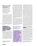#### **ORGANISATION**

#### The Bulgarian Center for

Not-for-Profit Law (BCNL) was founded in 2001 as publicbenefit foundation. Its mission is providing support for the drafting and implementation of legislation and policies with the aim to advance the civil society, civil participation and good governance in Bulgaria.

The numerous attacks on LGBT organisations, activists and mere members or perceived members of the LGBT community in Bulgaria were not adequately investigated by the authorities, and there is no publicly available information about any actions taken by the police or the prosecution office. Meanwhile, the main political actors remained silent about these instances of harassment, and the only vocal group on the matter were the far-right parties that supported the attacks and actively participated in some of them.**<sup>21</sup>**

#### THE REGULATORY ENVIRONMENT FOR AND IMPLEMENTATION OF CIVIC FREEDOMS OF ASSOCIATION, ASSEMBLY, EXPRESSION AND PRIVACY ONLINE AND OFFLINE

50

The 2000 Non-profit Legal Persons Act regulates the establishment and operation of NGOs in Bulgaria. The Act sets a relatively simple procedure for the registration of NGOs with limited powers of the administration (previously the court) to refuse registration based on the goals and means of archiving those goals. The law is in general applied as intended and, thus, it guarantees freedom of association.

**21** https://www.monitor.bg/bg/a/view/vmro-iska-anti-gej-merki-i-trudovo-obuchenie-za-negramotni-275482

The main exception of this trend is the case of UMO Ilinden**<sup>22</sup>** and similar, which were denied formal recognition as legal persons, organisations. Organisations aiming to achieve recognition and protection of the interests of the Macedonian minority in Bulgaria have been frequently denied registration by various Bulgarian courts and administrative bodies since the late 90s. Despite several decisions of the ECtHR in the past 20 years which ruled that Bulgaria violates freedom of association in those cases, the Bulgarian judicial authorities and Government at large are constantly refusing to comply with the ECtHR decisions, Bulgarian laws, Constitution and established practice applied to other NGOs.

During a meeting of the Committee of Ministers of the Council of Europe held on 7-9 June 2021, Bulgaria was once again invited to comply with the decisions of the ECtHR in connection with the refusal to register the UMO Ilinden Association and similar organisations. Still, there are no signs that there is any willingness for the issue to be resolved.**<sup>23</sup>**

**22** http://bcnl.org/en/news/two-decades-of-violation-of-the-right-of-association-the-case-of-united-macedonian-organisation-ilinden-and-others-against-bulgaria.html **23** https://search.coe.int/cm/pages/result\_details. aspx?objectid=0900001680a29ae6

THE EMERGENCE OF FAR-RIGHT GROUPS AND THE LACK OF PROPER RESPONSE BY THE AUTHORITIES LED TO A SURGE OF PHYSICAL ATTACKS AND VIOLENT THREATS AGAINST LGBT+ ORGANISATIONS AND ACTIVISTS

Although the Bulgarian legal framework regulating the freedom of association and the NGOs is compliant with the applicable standards, there were several attempts to adopt restrictive new rules in 2020. As an example, in July 2020, just two weeks after the ECJ announced that the Hungarian Transparency Act is discriminatory, a Bill to amend the Non-Profit Legal Entities Act (the Bill) was filed in the Bulgarian National Assembly, containing proposals similar to the Hungarian law. These measures included an obligation to report all income from foreign sources (foreign states, individuals, or companies) above 1000 BGN (500 EUR), the creation of a register of non-profit legal entities financed from abroad (intended to serve as a *blacklist*) and other restrictions and disproportionate administrative duties.**24** None of these restrictive bills were passed nor properly discussed during a public consultation procedure. Nevertheless, they served as an intimidation of the NGOs and consumed time and resources of watchdog organisations that had to oppose the bills at the earliest possible stage of the legislative procedure.

#### THE IMPACT OF THE COVID-19 PANDEMIC

As nearly every sphere of life, the work and operation of CSOs were also affected by the anti-pandemic restrictions. Firstly an *ad hoc* law regulated the restrictions in Bulgaria. Subsequently, an amendment to the Health Act gave the Minister of Health the power to issue ordinances for specific restrictions when an emergency epidemic state is announced. To date, Bulgaria is under emergency epidemic state and the Minister of Health issues ordinances regulating different restrictions on uneven time intervals and with no prior official and opened public consultations.

Although during the pandemic some administrative deadlines (e.g. the deadline

**24** http://bcnl.org/en/news/a-dangerous-attack-against-independent-civil-society-in-bulgaria. html

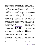for filing an annual financial report in the respective administration) were postponed for all legal entities, including the NGOs, the authorities failed to adopt any specific measures that would ensure the NGOs' sustainability during the pandemic. Furthermore, amendments were introduced to regulate the possibility for governmental bodies and other collective bodies to conduct their meetings online, but the NGOs were "forgotten." This means that, up to date, there is still a legal uncertainty whether or not a meeting of a general assembly of an association, for example, in which some or all members are participating via online communication means, is legal or not. The question is of great concern since the collective supreme bodies of the NGOs have the obligation to approve certain documents (e.g. the annual narrative and financial reports) which need to be made publicly available and filed with the respective administration. Since the restrictions were effectively forbidding in-person meetings in certain periods, some NGOs were forced to face an unreasonable choice: either to breach the anti-pandemic measures or falsify their assembly protocols in order to comply with their administrative duties. A bill resolving this issue was proposed in the Parliament, but due to the political crisis in the country, it seems unlikely for it to be adopted any time soon.

Soon after the announcement of the first lockdown in March 2020, the chairwoman of the Bulgarian Pharmaceutical union voiced her concerns that there might be a shortage of medical supplies. This led to formal charges against her on the accusation of instigating panic in the public.**<sup>25</sup>** After a public outcry, the charges were dropped, and no similar cases of breaches of the freedom of expression were observed. There were no restrictions on access to the internet or similar forms of censorship during the pandemic. Freedom of assembly, and freedom to protest in particular, was generally unaffected by the COVID-19 restrictions. Many protests took place in 2020 – 2021, none of which were dispersed due to anti-pandemic restrictions. Despite this, there were multiple cases of infringement of the right to protest during a nearly four months continuous anti-government protest in Sofia during the summer of 2020.**<sup>26</sup>** The breaches included police brutality, unlawful detentions, alleged unlawful surveillance of protest's leaders and others. The newly elected parliaments in 2021 formed commissions to investigate the police brutality during the 2020 protests, but due to the political crisis and the short life of those parliaments, the results of the work of the commissions were limited. So far, there is publicly available information about a few police officers who received disciplinary punishments, but no criminal proceedings were initiated.

#### THE FRAMEWORK FOR CIVIC ORGANISATIONS' FINANCIAL VIABILITY AND SUSTAINABILITY

According to the 2020 Civil Society Sustainability Index for Bulgaria, the financial sustainability of the Bulgarian CSOs remained unchanged compared to 2019.**27** Still, the financial resources are very limited and mainly provided by foreign donors. Although donations have increased in recent year, they are mainly directed towards specific causes (e.g. particular sick children in need of money for medication) rather than organisations and broader goals.

The Bulgarian Government provides funding for NGOs through the annual budget. The sum for 2020 was nearly 100 million BGN (around 50 million Euro). However, most of this funding is disbursed to religious institutions and sports clubs, and the remaining money is distributed without any clear criteria or public consultations.

The Government implemented different support schemes, and, in principle, NGOs were covered by some of the general measures. However, the conditions to apply for this support left many NGOs ineligible to apply, while no aid was specifically aimed to support the civic sector. Furthermore, NGOs are not mentioned in any of the Bulgarian Recovery and Resilience Plan drafts, which will ensure sizable funding from the EU.**<sup>28</sup>**

Additionally, the Government is also delaying the realisation of an already adopted support mechanism. Since 2018, according to the Non-profit Legal Persons Act, the creation of a Council for the Development of the Civil Society (CDCS) is pending. The CDCS has to be composed of NGOs elected by other NGOs, and among its duties, it should distribute state funding to other NGOs. However, after two years of drafting bylaws for the functioning of the CDCS and successful elections of its members held at the beginning of 2020, the CDCS was never formally established.

#### THE RIGHT TO PARTICIPATION AND DIALOGUE BETWEEN THE CIVIC SECTOR AND GOVERNING BODIES

The Bulgarian laws regulate a multitude of different consultative councils which, in theory, should ensure a civil dialogue. However, some of them do not function properly, or the results of their work are generally not adequately disseminated, thus leaving the public either completely

**28** https://ec.europa.eu/info/strategy/ recovery-plan-europe\_en

**<sup>25</sup>** https://www.capital.bg/politika\_i\_ikonomika/ zdraveopazvane/2020/04/13/4054000\_farmacevtite\_protestiraha\_sreshtu\_absurdno\_obvinenie/?fbclid=IwAR3sAExE5BR0nQoq0W-VxRT81e-OpU\_5El9e12bgF4wEwJHOesZdOJ5hE61w

**<sup>26</sup>** https://civicspacewatch.eu/bulgaria-protests-continue-peacefully-after-tension-escalated-in-sofia-on-the-second-of-september/ **27** https://bit.ly/35QxaOK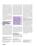uninformed about the existence of such councils or with low trust in them.

For example, the Council for the Development of the Civil Society (CDCS) to the Council of Ministers was never created, although the respective legislation has been in force since 2018. Another example is the procedure for elections for new NGO members of the National Council for Equality Between Men and Women.**<sup>29</sup>** The elections process for this Council was successfully concluded in July 2021, but the elected NGOs have not been formally included in the Council.

Some councils, such as the Economic and Social Council,**30** are granted significant state funding; however, it is unclear if they serve the intended purpose since it is nearly impossible to find mention of their work or media presence of their representatives.

#### CIVIL SOCIETY'S RESPONSES TO CHALLENGES TO DEMOCRACY, THE RULE OF LAW AND FUNDAMENTAL RIGHTS

52

In 2021, a Bulgarian was elected**<sup>31</sup>** as one of the four new members of the quota of civil society organisations in the Steering Committee of the Open Government Partnership.**32** Bulgaria is currently implementing 37 commitments from their 2016-2018 action plan in the scope of the Open Government Partnership. This action plan features commitments related to e-government, access to information, open cities, open data, and public integrity. Currently, Bulgaria is in the process of adopting its fourth national action plan.

In recent years a couple of grassroot organisations, such as BOEC**33** and the Justice for Everyone Initiative,**34** have become increasingly active and vocal on issues of the rule of law in Bulgaria. Those organisations are actively advocating for a much-needed reform of the judiciary and are leading a number of protests against the election of the highly controversial head of the prosecution.**35** The Venice Commission frequently criticises Bulgaria concerning the judiciary and, especially, the prosecution. The Bulgarian prosecution is structured in a strict hierarchy.**<sup>36</sup>**

**IN RECENT YEARS A** COUPLE OF GRASSROOT ORGANISATIONS HAVE BECOME INCREASINGLY ACTIVE AND VOCAL ON ISSUES OF THE RULE OF LAW IN BULGARIA.

This means that the head of the persecution, who serves a 7-year mandate, has the power to retract any act of any other prosecutor, to change the leading prosecutor of any case and in general to personally control the actions of any other prosecutor without any proper mechanism for check and balances.

#### RECOMMENDATIONS

**Political landscape and safe space:**  Authorities should refrain from smear campaigns and hate speech and condemn any act motivated by hate or propagating hate. The Bulgarian Penal Code should be amended in order to criminalise hate crimes.**37** Police officers should be trained to engage with LGBT people and other minorities and provide appropriate support against violence based on sexual and gender identity. Individuals and groups inciting or involved in these crimes should be duly prosecuted. EU institutions should stand up for associations targeted by smear campaigns. In particular, it is recommendable for the European Parliament to take a firm stand on anti-NGO speech by Members of the Parliament and for the European parliamentary groups to condemn such speech by representatives of their member-parties.

**The regulatory environment for and implementation of civic freedoms of association and assembly:** Authorities should take into account the Committee of Ministers of the Council of Europe recommendations regarding the UMO Ilinden case. This case is setting a dangerous precedent which reaffirms a faulty and overly broad interpretation of the legal restrictions to freedom of association.

The incidents during the anti-government protests in 2020 need to be thoroughly examined and serve as a basis for a reform in the police structures which will ensure the respect for the right of peaceful assembly. Good practices and standards as set in General comment No. 37 (2020) on the right of peaceful assembly (article 21)**38** of the Human Rights Committee need to be applied.



**<sup>29</sup>** https://www.mlsp.government.bg/novini-11?fbclid=IwAR1\_PdVb0v-yc74YmwhoqZ-SS9X9KCvAzpkr urtwmsStqRwGOJpCUnn182c

**<sup>30</sup>** https://esc.bg/

**<sup>31</sup>** http://bcnl.org/en/news/luben-panov-and-douglasrutzen-are-elected-as-members-of-the-open-government-partnership-initiatives-steering-committee. html

**<sup>32</sup>** https://www.opengovpartnership.org/about/ who-we-are/steering-committee/2021-civil-society-steering-committee-selection/

**<sup>33</sup>** https://www.boec-bg.com/

**<sup>34</sup>** https://pravosadiezavseki.com/

**<sup>35</sup>** https://bntnews.bg/news/protest-pred-vss-siskane-za-ostavkata-na-ivan-geshev-1163175news. html

**<sup>36</sup>** https://balkaninsight.com/2020/11/23/venice-commission-criticizes-bulgarias-rush-to-change-constitution/

**<sup>37</sup>** https://bilitis.org/2021/02/22/kriminalizirane-na-prestapleniyata-ot-omraza-v-balgariya/ **38** https://tbinternet.ohchr.org/\_layouts/15/ treatybodyexternal/Download. aspx?symbolno=CCPR%2fC%2fGC%2f37&Lang=en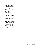#### **COVID-19 response measures and financial sustainability of NGOs**

The Bulgarian authorities need to urgently develop sector-specific recovery and support measures for the NGOs in Bulgaria. Additionally, a solution needs to be found to resolve the legality issue of the online participation of members of the supreme collective bodies of NGOs. This could be archived either by passing the bill of amendments already filed in the Parliament or by adopting internal policies of the administrative bodies concerned for them to implement a broader interpretation of the term "present." The second approach seems a possible solution since there is already some court practice in that sense.

The European Commission need to guide and insist on the inclusion of NGOs in the Member state's Recovery and Resilience Plans.

#### **The right to participation and dialogue**  The Bulgarian Council of Ministers should comply with the law and establish the CDCS. The Bulgarian authorities need to ensure the effective work of all established consultative councils by providing them with operational and administrative resources and taking into an account and promoting the results of their work.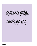*The NGO Deystvie operates a legal defence programme providing support to LGBTI couples in Bulgaria. The award recognises the tireless commitment of Denitsa Lyubenova and Deystvie to LGBTI rights in the context of a complex cross-border family case and a hostile environment for the LGBTI community in Bulgaria. Baby Sara's mothers came to Deystvie for help as their child born to British and Bulgarian mothers in Spain is at risk of statelessness. Sara's story brings to light the outstanding work of lawyer Denitsa Lyubenova and the NGO Deystvie in their dedication to improve the rights of LGBTI people in Bulgaria. Following the refusal of the Bulgarian authorities to recognise baby Sara's Spanish birth certificate recording both her mothers' names, Lyubenova has taken the case to the Court of Justice of the European Union (ECJ). In December 2021, a landmark judgement paved the way for other EU member states, as the ECJ has ruled that a child and its same-sex parents must be recognised as a family, therefore, the child should be issued a Bulgarian passport, and the family should have free movement in all Member States of the European Union".1*

**1** [Top EU Court Recognises Relationship of Same-sex Parents and their Children Under EU Law | ILGA-Europe](https://ilga-europe.org/resources/news/latest-news/top-eu-court-recognises-relationship-same-sex-parents-and-their-children)

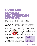# SAME-SEX FAMILIES ARE EUROPEAN FAMILIE BS

# Baby Sara's case sets a crucial precedent for the EU

#### **Interview with Denitsa Lyubenova, lawyer, Deystvie**

#### **What are the goals and types of actions of Deystvie?**

In Bulgarian, Deystvie means "action". We started our work as an informal group of friends in 2010. The organisation was founded officially in 2012,

and in 2014 organisation's Legal Program was created. The legal program is really at the heart of the organisation now. Since 2014, we provide pro bono legal services and engage in strategic litigation. Our long-term goal is to change the Bulgarian

legislation in three main areas: First, we want to achieve recognition for same-sex partnerships and/or marriage equality for LGBT+ couples. Then, we are working towards changing the criminal code so that it recognises hate crime against LGBT+ people. Finally, we want the state to put in place a procedure for legal gender recognition.

We also organise many community and human rights events. For instance, we co-organised Sofia Pride and organise the Sofia Pride Film fest, an annual film festival. We also publish books to facil-

itate our legal program and stories to show people who might become victims of discrimination what their rights are. We want to raise awareness about their rights and empower them to speak up if they are violated. Then, our role is also to defend their rights with legal consultation and

representation before courts.

#### **Could you give us an overview of the legislative and political landscape in regards to LGBT+ rights in Bulgaria?**

The key issues of the Bulgarian legislation are the ones I mentioned above. As a post-communist country, Bulgaria has a

very patriarchal and chauvinistic society. There is a lot of domestic violence and phobia not only against LGBT+ people but also against Roma, refugees, Jews… against everyone who differs from the norm as understood by the general public. In the past 10 years, the work on LGBT+ rights has been difficult. At the same time, we saw a lot of improvements and acceptance both in society and at the administration level.

55

Nevertheless, this year especially around our Pride events, many attacks took place against LGBT+ people. Neo-Nazi groups

# WE SAW A LOT OF IMPROVEMENTS AND ACCEPTANCE BOTH IN SOCIETY AND AT THE ADMINISTRATION LEVEL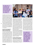## WE SHOULD NOT LET FEAR PREVAIL! WE ARE ON THE RIGHT SIDE OF HISTORY, AND WE DO OUR JOB WITH ALL THE LOVE WE ARE CAPABLE OF

surrounded us, and we had to pay additional private security to do extra checks and protect each event. One of the events was especially terrifying for me. We had organised a movie night during Sofia Pride film fest where around 150 LGBT+ people gathered to watch a movie. During this occasion, we found ourselves surrounded by between 200 and 300 violent hooligans. They were screaming during the whole event, holding hands around us to create human chains to trap and threaten us. This year, it was extremely challenging for me to stay in the public eye around Pride events. However, we should not let fear prevail! We are on the right side of history, and we do our job with all the love we are capable of.

56

#### **Have there been being physical injuries as a result of these attacks around pride events?**

Yes, there were several. During one of our events, we were raided by a far-right group and our chairperson was attacked; she was pushed, and they tried to take her out. The police took measures to take these people outside of the venue. In May 2021, we co-organised a Pride event in Burgas, the first-ever Pride outside of Sofia. The people who gathered around this event were very violent; they were throwing stones, glass bottles, and a type of Molotov cocktail. We were evacuated, and we personally paid for taxis in order to escape the place. This is one of the events where the police did not take



enough measures to secure people's lives and health. They were expecting this kind of attack, but they were unprepared.

Otherwise, during the Sofia Pride, the police forces took all the necessary protective measures. We have a good and close cooperation with the police in Sofia. We work very closely together to prepare our events beforehand. We always have a contact person present on the day responsible for the security during the event itself. However, in smaller cities outside of the capital of Bulgaria, the situation is different. We need to work more closely with these police officers.

We often receive reports from people who suffered violent attacks. The striking thing is that these attacks started happening during the day as well. This is another crucial area of work for our organisation: we are very proud that since 2019, we have trained between 100 and 200 police officers on how to tackle hate crimes and help LGBT+ communities.

#### **Let's take a step back: when did these attacks start happening?**

I will start with a small retrospective. Before the elections in April 2021, our government was composed of a centreright political party in a coalition with a far-right political party. For almost 12

years, it was a difficult political context to operate in. In 2017 and 2018, a big debate in Bulgaria took place regarding the ratification of the Istanbul convention. This is where the term "gender ideology" was invented. There was a serious backlash from politicians, the Bulgarian Church, the media, and the general public against the Istanbul Convention, and LGBT+ people were targeted as scapegoats. This was when several negative developments started happening to the LGBT+ community in the country: violent attacks against LGBT+ people started raising, Courts, including the Constitutional court, started targeting trans people and

WE LEARNED THAT WE NEED TO BUILD STRONG CIVIL SOCIETY COALITIONS BECAUSE THE ORGANISERS OF THESE ANTI-HUMAN RIGHTS CAMPAIGNS ARE LOUD AND **INTERCONNECTED** 

ACTIVIZENSHIP #6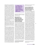refusing changes in the legal gender of trans people – it is shameful for the courts in Bulgaria. In 2018, the Constitutional Court of Bulgaria ruled that the Istanbul Convention is against the Bulgarian Constitution; hence, we could not ratify it. In early 2019 an official complaint was filed at the prosecution office against the LGBT NGO Deystvie by the leader of [Revival](https://vazrazhdane.bg/) Political Party – a far-right political group, with the Prosecutor's Office. The group is not seated in the Parliament. However, the party has members in the Municipal councils in several cities across the country. Revival filed the complaint together with an Evangelistic NGO National Group – Parents United for Children" – ROD ("Национална група – Родители обединени за децата" – РОД) alleging a crime under Article 108 of the Bulgarian Penal Code:

"A person who preaches fascist or another anti-democratic ideology or forceful change of the social and state order as established by the Constitution of the Republic of Bulgaria, shall be punished by imprisonment for up to three years or a fine of up to BGN 5,000 (2,500 thousand euro)".

This criminal investigation should be understood as a manifestation of shrinking space for human rights' defenders, especially LGBT+ rights' defenders, who were and still are being subjected to severe pressure. It also needs to be contextualised in the democracy backsliding and violations of human rights in the country. This landscape, together with the lack of legislation protecting LGBT+ people and lack of recognition of rights, created the fear of insecurity in us. Our main fear was that if the Prosecutor's Office decided to open a prosecutorial investigation, our bank accounts would be immediately blocked, and people in charge of the organisation would be arrested. Fortunately, the Prosecution office decided not to open an investigation against Deystvie. Now, the situation has changed, and none of the far-right political parties is

# **IT IS CRUCIAL THAT** PEOPLE UNDERSTAND THAT THE RULE OF LAW AND DEMOCRACY CANNOT EXIST WITHOUT HUMAN RIGHTS

represented in Parliament. We are very happy because we did a lot of campaigns to achieve this result.

#### **Did you experience disinformation or smear campaigns against LGBT+ people and organisations from the media or the government coalition? And how do you respond to this challenge?**

We learned that we need to build strong civil society coalitions because the organisers of these anti-human rights campaigns, such as the ones against the adoption of a more liberal Family Code, the ratification of the Istanbul Convention and the Strategy of Children in Bulgaria, are loud and interconnected. "Agenda Europe" is a pan-European, Christian-extremist network committed to the "*restoration of natural order*".**<sup>1</sup>** Agenda Europe members are the ones who wrote and promoted the draft laws on restricting abortion in Spain (2014) and complete ban on abortion in Poland (2016). They started the European Citizens' Initiative "One of Us" asking the Commission to halt all EU funding that involved the "*destruction of the human embryo*".**<sup>2</sup>** They also started the European Citizens Initiative "*Mum, Dad and Kids*" – a legislative effort to protect marriage and family, by defining marriage as "*a permanent and* 

*faithful union of man and woman with the purpose of founding a family*".**<sup>3</sup>**

#### **You were nominated for your legal work on baby Sara's case, which reached the CJEU. Can you tell us more about this case and why it is so special?**

Sara was born in December 2019 in a family of two women: a Bulgarian woman and a woman born in Gibraltar but whose descendant were from the United Kingdom. When the child was born, they realised that Sara could not gain Spanish citizenship because neither was a Spanish citizen. Therefore, they requested the UK to issue a birth certificate and passport. Indeed, they thought that the ancestry of one of them made Sarah eligible for a UK citizenship. However, the UK passport office stated in an official paper that since the mother was a UK citizen by descent, she could not transfer the UK citizenship to her child. The only possibility left for the couple was to request a Bulgarian birth certificate to get Bulgarian citizenship. The Bulgarian mother returned to Bulgaria and contacted us to provide legal support. She brought the Spanish birth certificate, on which both mothers were recognised as parents. In the process of getting the Bulgarian birth certificate of the child, she was asked to provide information on who the biological mother of the child was. We refused to give this information because we consider that it was a personal information that was not necessary for administrative bodies to have. Additionally, we consider this practice discriminatory because none of the heterosexual couples returning to Bulgaria with a birth certificate of their child issued from a European Union member state is asked to prove the biological connection with the child. The birth certificate issued from another EU member state should be considered proof of this connection. As we refused to give

**<sup>1</sup>** [https://www.gwi-boell.de/en/2019/04/29/agenda-eu](https://www.gwi-boell.de/en/2019/04/29/agenda-europe-extremist-christian-network-heart-europe)[rope-extremist-christian-network-heart-europe](https://www.gwi-boell.de/en/2019/04/29/agenda-europe-extremist-christian-network-heart-europe) **2** [https://europa.eu/citizens-initiative/initiatives/](https://europa.eu/citizens-initiative/initiatives/details/2012/000005_en) [details/2012/000005\\_en](https://europa.eu/citizens-initiative/initiatives/details/2012/000005_en)

**<sup>3</sup>** [https://europa.eu/citizens-initiative/initiatives/](https://europa.eu/citizens-initiative/initiatives/details/2015/000006_en) [details/2015/000006\\_en](https://europa.eu/citizens-initiative/initiatives/details/2015/000006_en)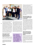

this information, the municipality refused to issue the child's birth certificate.

58

We appealed this decision, and the case reached the administrative Court in Sofia. On the basis of our findings, the court decided that this case concerns pieces of European law that are not clear enough. Hence, the administrative Court of Sophia decided to send the so-called preliminary ruling request to the Court of Justice of the European Union. We had our court hearing in Luxembourg on February 2021 and we are waiting for the court's decision. This court case is of great importance for the development of EU law.

#### **What would be the impact of the ruling in case of a favourable outcome both in Bulgaria and at EU level?4**

In the EU and in many member states, there are no standards that secure the rights of same-sex couples, especially same-sex couples who are in cross-border relationships. This means that when travelling or coming back to their country of origin, their rights as partners and spouses are not guaranteed, nor are the rights of their children born in same-sex relations. The uncertainty in same-sex relationships extends to their children. This situation creates a multiplicity of insecurities related to their economic situations, inheritance rights, access to healthcare, and education. This is a grey area at the moment, and it should be discussed and decided at the European level. I hope it

THE EU SHOULD BE MORE COURAGEOUS TO USE INFRINGEMENT PROCEEDINGS OR STOP SPECIFIC FUNDING FOR THE GOVERNMENTS THAT ABUSE DEMOCRACY

will become a priority for the European Commission and the Parliament.

Additionally, the decisions of the Court of Justice are mandatory for all member states. Therefore, if the Court of Justice decision is positive for this case, other EU member states will be obliged to apply this decision. If they do not comply or are too slow, the European Commission can start infringement procedures against those countries. Once the decision is published, we will have to push countries to change their law and to grant recognition to LGBT+ families.

#### **What are your thoughts on the first LGBTI strategy? Do see any new opportunities for support for civil society?**

First of all, I think it is a very important position on behalf of the European Union. It is very meaningful for the advancement of LGBT+ rights in the EU. It important and needed in the current context across Europe, and especially in Hungary and Poland. I think that a lot more can be achieved and a lot more can be done to achieve it. We understand how politics work and how the European Union functions, however we hope that human rights will be a priority for the EU. It is crucial that people understand that the rule of law and democracy cannot exist without human rights.

#### **What else could the EU do to support LGBT+ organisations in their work and in facing the challenges you described in Bulgaria?**

We need more action instead of words from the EU. We need the EU to understand that threats will not stop countries like Bulgaria, Romania, Poland, Hungary. The EU should be more courageous to use infringement proceedings or stop specific funding for the Governments that abuse democracy.

We cooperate a lot and with different organisations, mainly in the field of



**<sup>4</sup>** It should be known that the decision was rendered months after the interview took place, therefore the answer to the question should be considered in light of this and of the fact that the decision was favourable.